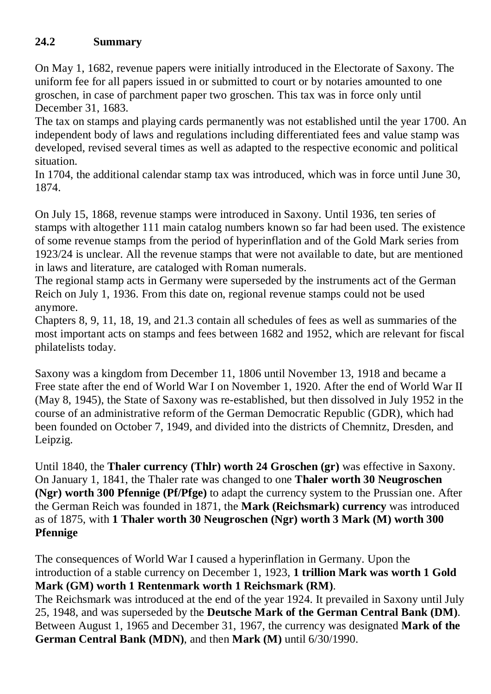## **24.2 Summary**

On May 1, 1682, revenue papers were initially introduced in the Electorate of Saxony. The uniform fee for all papers issued in or submitted to court or by notaries amounted to one groschen, in case of parchment paper two groschen. This tax was in force only until December 31, 1683.

The tax on stamps and playing cards permanently was not established until the year 1700. An independent body of laws and regulations including differentiated fees and value stamp was developed, revised several times as well as adapted to the respective economic and political situation.

In 1704, the additional calendar stamp tax was introduced, which was in force until June 30, 1874.

On July 15, 1868, revenue stamps were introduced in Saxony. Until 1936, ten series of stamps with altogether 111 main catalog numbers known so far had been used. The existence of some revenue stamps from the period of hyperinflation and of the Gold Mark series from 1923/24 is unclear. All the revenue stamps that were not available to date, but are mentioned in laws and literature, are cataloged with Roman numerals.

The regional stamp acts in Germany were superseded by the instruments act of the German Reich on July 1, 1936. From this date on, regional revenue stamps could not be used anymore.

Chapters 8, 9, 11, 18, 19, and 21.3 contain all schedules of fees as well as summaries of the most important acts on stamps and fees between 1682 and 1952, which are relevant for fiscal philatelists today.

Saxony was a kingdom from December 11, 1806 until November 13, 1918 and became a Free state after the end of World War I on November 1, 1920. After the end of World War II (May 8, 1945), the State of Saxony was re-established, but then dissolved in July 1952 in the course of an administrative reform of the German Democratic Republic (GDR), which had been founded on October 7, 1949, and divided into the districts of Chemnitz, Dresden, and Leipzig.

Until 1840, the **Thaler currency (Thlr) worth 24 Groschen (gr)** was effective in Saxony. On January 1, 1841, the Thaler rate was changed to one **Thaler worth 30 Neugroschen (Ngr) worth 300 Pfennige (Pf/Pfge)** to adapt the currency system to the Prussian one. After the German Reich was founded in 1871, the **Mark (Reichsmark) currency** was introduced as of 1875, with **1 Thaler worth 30 Neugroschen (Ngr) worth 3 Mark (M) worth 300 Pfennige**

The consequences of World War I caused a hyperinflation in Germany. Upon the introduction of a stable currency on December 1, 1923, **1 trillion Mark was worth 1 Gold Mark (GM) worth 1 Rentenmark worth 1 Reichsmark (RM)**.

The Reichsmark was introduced at the end of the year 1924. It prevailed in Saxony until July 25, 1948, and was superseded by the **Deutsche Mark of the German Central Bank (DM)**. Between August 1, 1965 and December 31, 1967, the currency was designated **Mark of the German Central Bank (MDN)**, and then **Mark (M)** until 6/30/1990.